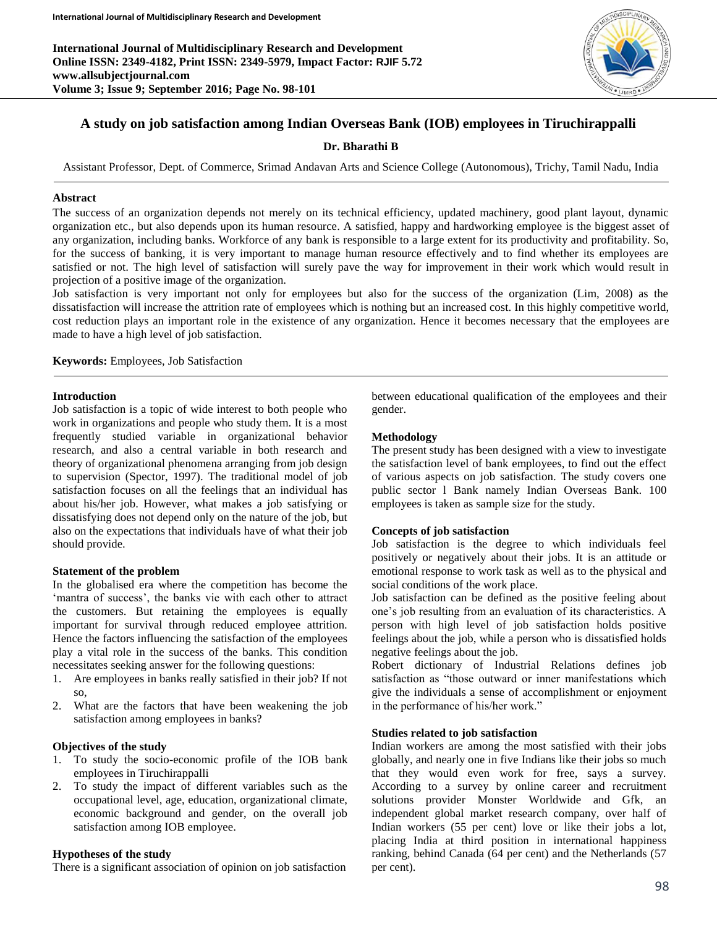**International Journal of Multidisciplinary Research and Development Online ISSN: 2349-4182, Print ISSN: 2349-5979, Impact Factor: RJIF 5.72 www.allsubjectjournal.com Volume 3; Issue 9; September 2016; Page No. 98-101**



# **A study on job satisfaction among Indian Overseas Bank (IOB) employees in Tiruchirappalli**

## **Dr. Bharathi B**

Assistant Professor, Dept. of Commerce, Srimad Andavan Arts and Science College (Autonomous), Trichy, Tamil Nadu, India

### **Abstract**

The success of an organization depends not merely on its technical efficiency, updated machinery, good plant layout, dynamic organization etc., but also depends upon its human resource. A satisfied, happy and hardworking employee is the biggest asset of any organization, including banks. Workforce of any bank is responsible to a large extent for its productivity and profitability. So, for the success of banking, it is very important to manage human resource effectively and to find whether its employees are satisfied or not. The high level of satisfaction will surely pave the way for improvement in their work which would result in projection of a positive image of the organization.

Job satisfaction is very important not only for employees but also for the success of the organization (Lim, 2008) as the dissatisfaction will increase the attrition rate of employees which is nothing but an increased cost. In this highly competitive world, cost reduction plays an important role in the existence of any organization. Hence it becomes necessary that the employees are made to have a high level of job satisfaction.

**Keywords:** Employees, Job Satisfaction

### **Introduction**

Job satisfaction is a topic of wide interest to both people who work in organizations and people who study them. It is a most frequently studied variable in organizational behavior research, and also a central variable in both research and theory of organizational phenomena arranging from job design to supervision (Spector, 1997). The traditional model of job satisfaction focuses on all the feelings that an individual has about his/her job. However, what makes a job satisfying or dissatisfying does not depend only on the nature of the job, but also on the expectations that individuals have of what their job should provide.

#### **Statement of the problem**

In the globalised era where the competition has become the 'mantra of success', the banks vie with each other to attract the customers. But retaining the employees is equally important for survival through reduced employee attrition. Hence the factors influencing the satisfaction of the employees play a vital role in the success of the banks. This condition necessitates seeking answer for the following questions:

- 1. Are employees in banks really satisfied in their job? If not so,
- 2. What are the factors that have been weakening the job satisfaction among employees in banks?

## **Objectives of the study**

- 1. To study the socio-economic profile of the IOB bank employees in Tiruchirappalli
- 2. To study the impact of different variables such as the occupational level, age, education, organizational climate, economic background and gender, on the overall job satisfaction among IOB employee.

## **Hypotheses of the study**

There is a significant association of opinion on job satisfaction

between educational qualification of the employees and their gender.

### **Methodology**

The present study has been designed with a view to investigate the satisfaction level of bank employees, to find out the effect of various aspects on job satisfaction. The study covers one public sector l Bank namely Indian Overseas Bank. 100 employees is taken as sample size for the study.

### **Concepts of job satisfaction**

Job satisfaction is the degree to which individuals feel positively or negatively about their jobs. It is an attitude or emotional response to work task as well as to the physical and social conditions of the work place.

Job satisfaction can be defined as the positive feeling about one's job resulting from an evaluation of its characteristics. A person with high level of job satisfaction holds positive feelings about the job, while a person who is dissatisfied holds negative feelings about the job.

Robert dictionary of Industrial Relations defines job satisfaction as "those outward or inner manifestations which give the individuals a sense of accomplishment or enjoyment in the performance of his/her work."

## **Studies related to job satisfaction**

Indian workers are among the most satisfied with their jobs globally, and nearly one in five Indians like their jobs so much that they would even work for free, says a survey. According to a survey by online career and recruitment solutions provider Monster Worldwide and Gfk, an independent global market research company, over half of Indian workers (55 per cent) love or like their jobs a lot, placing India at third position in international happiness ranking, behind Canada (64 per cent) and the Netherlands (57 per cent).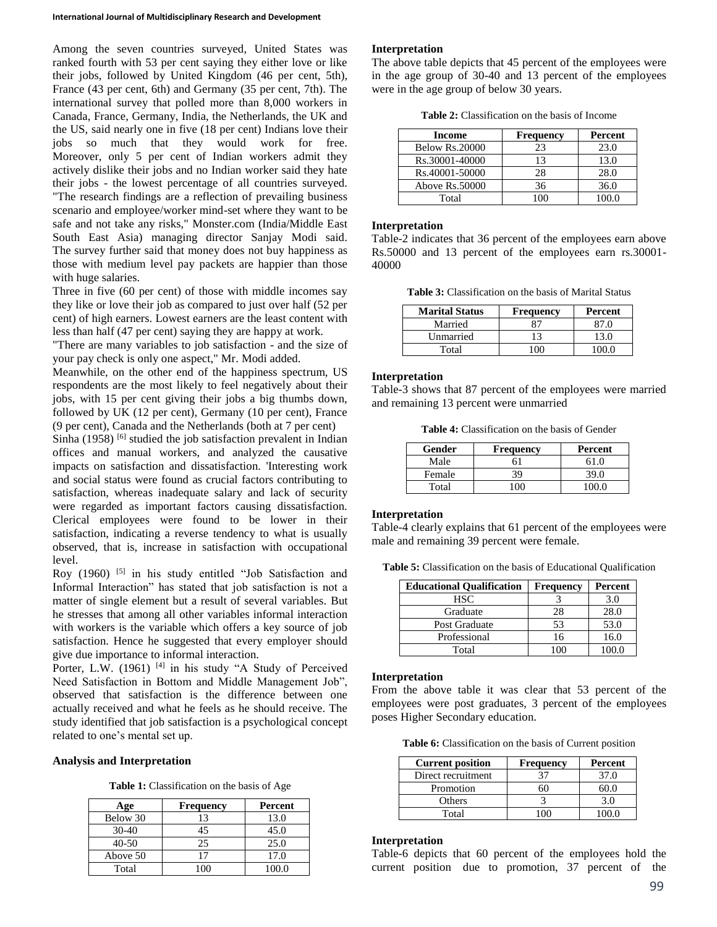Among the seven countries surveyed, United States was ranked fourth with 53 per cent saying they either love or like their jobs, followed by United Kingdom (46 per cent, 5th), France (43 per cent, 6th) and Germany (35 per cent, 7th). The international survey that polled more than 8,000 workers in Canada, France, Germany, India, the Netherlands, the UK and the US, said nearly one in five (18 per cent) Indians love their jobs so much that they would work for free. Moreover, only 5 per cent of Indian workers admit they actively dislike their jobs and no Indian worker said they hate their jobs - the lowest percentage of all countries surveyed. "The research findings are a reflection of prevailing business scenario and employee/worker mind-set where they want to be safe and not take any risks," Monster.com (India/Middle East South East Asia) managing director Sanjay Modi said. The survey further said that money does not buy happiness as those with medium level pay packets are happier than those with huge salaries.

Three in five (60 per cent) of those with middle incomes say they like or love their job as compared to just over half (52 per cent) of high earners. Lowest earners are the least content with less than half (47 per cent) saying they are happy at work.

"There are many variables to job satisfaction - and the size of your pay check is only one aspect," Mr. Modi added.

Meanwhile, on the other end of the happiness spectrum, US respondents are the most likely to feel negatively about their jobs, with 15 per cent giving their jobs a big thumbs down, followed by UK (12 per cent), Germany (10 per cent), France (9 per cent), Canada and the Netherlands (both at 7 per cent)

Sinha  $(1958)$ <sup>[6]</sup> studied the job satisfaction prevalent in Indian offices and manual workers, and analyzed the causative impacts on satisfaction and dissatisfaction. 'Interesting work and social status were found as crucial factors contributing to satisfaction, whereas inadequate salary and lack of security were regarded as important factors causing dissatisfaction. Clerical employees were found to be lower in their satisfaction, indicating a reverse tendency to what is usually observed, that is, increase in satisfaction with occupational level.

Roy (1960) <sup>[5]</sup> in his study entitled "Job Satisfaction and Informal Interaction" has stated that job satisfaction is not a matter of single element but a result of several variables. But he stresses that among all other variables informal interaction with workers is the variable which offers a key source of job satisfaction. Hence he suggested that every employer should give due importance to informal interaction.

Porter, L.W. (1961)<sup>[4]</sup> in his study "A Study of Perceived Need Satisfaction in Bottom and Middle Management Job", observed that satisfaction is the difference between one actually received and what he feels as he should receive. The study identified that job satisfaction is a psychological concept related to one's mental set up.

## **Analysis and Interpretation**

**Table 1:** Classification on the basis of Age

| Age       | Frequency | Percent |
|-----------|-----------|---------|
| Below 30  | 13        | 13.0    |
| $30-40$   | 45        | 45.0    |
| $40 - 50$ | 25        | 25.0    |
| Above 50  |           | 17.0    |
| Total     | ഥറ        | 100.0   |

### **Interpretation**

The above table depicts that 45 percent of the employees were in the age group of 30-40 and 13 percent of the employees were in the age group of below 30 years.

**Table 2:** Classification on the basis of Income

| Income         | <b>Frequency</b> | Percent |
|----------------|------------------|---------|
| Below Rs.20000 | 23               | 23.0    |
| Rs.30001-40000 | 13               | 13.0    |
| Rs.40001-50000 | 28               | 28.0    |
| Above Rs.50000 | 36               | 36.0    |
| Total          |                  | 100 O   |

#### **Interpretation**

Table-2 indicates that 36 percent of the employees earn above Rs.50000 and 13 percent of the employees earn rs.30001- 40000

**Table 3:** Classification on the basis of Marital Status

| <b>Marital Status</b> | <b>Frequency</b> | Percent |
|-----------------------|------------------|---------|
| Married               |                  |         |
| Unmarried             | 13               | 13 O    |
| Total                 |                  | 00 O    |

#### **Interpretation**

Table-3 shows that 87 percent of the employees were married and remaining 13 percent were unmarried

**Table 4:** Classification on the basis of Gender

| Gender | <b>Frequency</b> | Percent |
|--------|------------------|---------|
| Male   |                  | 61 በ    |
| Female | 39               | 39.0    |
| Total  |                  |         |

### **Interpretation**

Table-4 clearly explains that 61 percent of the employees were male and remaining 39 percent were female.

**Table 5:** Classification on the basis of Educational Qualification

| <b>Educational Qualification</b> | Frequency | Percent |
|----------------------------------|-----------|---------|
| HSC.                             |           | 3.0     |
| Graduate                         | 28        | 28.0    |
| Post Graduate                    | 53        | 53.0    |
| Professional                     | 16        | 16.0    |
| Total                            |           |         |

### **Interpretation**

From the above table it was clear that 53 percent of the employees were post graduates, 3 percent of the employees poses Higher Secondary education.

**Table 6:** Classification on the basis of Current position

| <b>Current position</b> | Frequency | Percent |
|-------------------------|-----------|---------|
| Direct recruitment      |           | 37.0    |
| Promotion               |           | 60 O    |
| Others                  |           | 3.0     |
| Total                   |           |         |

#### **Interpretation**

Table-6 depicts that 60 percent of the employees hold the current position due to promotion, 37 percent of the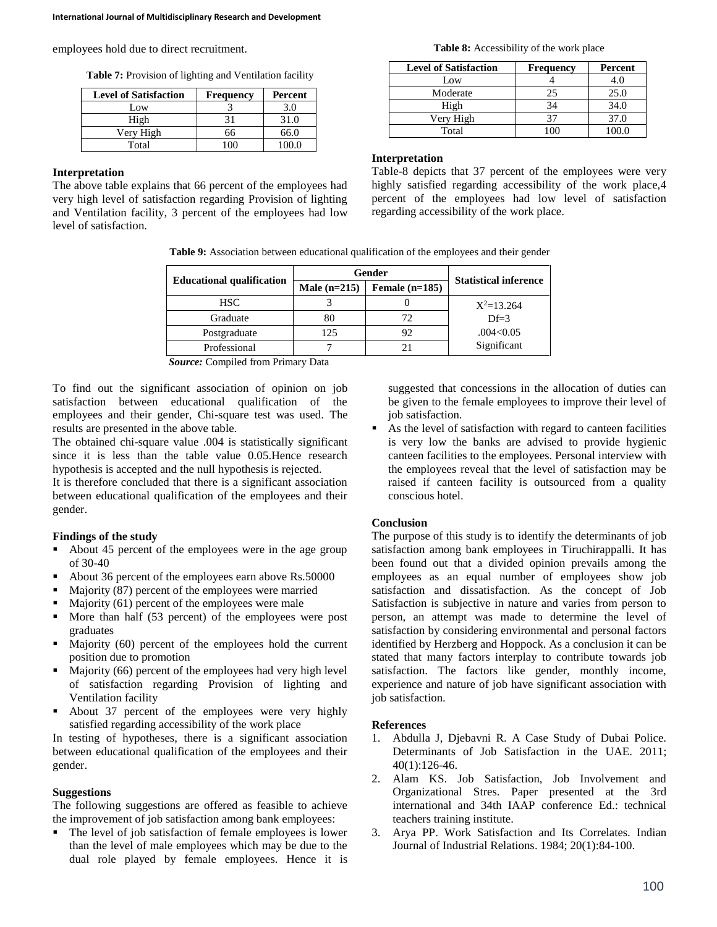employees hold due to direct recruitment.

**Table 7:** Provision of lighting and Ventilation facility

| <b>Level of Satisfaction</b> | <b>Frequency</b> | Percent |
|------------------------------|------------------|---------|
| Low                          |                  | 3.0     |
| High                         |                  | 31.0    |
| Very High                    | 66               | 66.0    |
| Total                        | ഥറ               | 100 O   |

## **Interpretation**

The above table explains that 66 percent of the employees had very high level of satisfaction regarding Provision of lighting and Ventilation facility, 3 percent of the employees had low level of satisfaction.

**Table 8:** Accessibility of the work place

| <b>Level of Satisfaction</b> | <b>Frequency</b> | Percent |
|------------------------------|------------------|---------|
| Low                          |                  | 4.0     |
| Moderate                     | 25               | 25.0    |
| High                         | 34               | 34.0    |
| Very High                    | 37               | 37.0    |
| Total                        |                  |         |

## **Interpretation**

Table-8 depicts that 37 percent of the employees were very highly satisfied regarding accessibility of the work place, 4 percent of the employees had low level of satisfaction regarding accessibility of the work place.

**Table 9:** Association between educational qualification of the employees and their gender

|                                  | Gender         |                  | <b>Statistical inference</b> |
|----------------------------------|----------------|------------------|------------------------------|
| <b>Educational qualification</b> | Male $(n=215)$ | Female $(n=185)$ |                              |
| <b>HSC</b>                       |                |                  | $X^2=13.264$                 |
| Graduate                         | 80             |                  | $Df=3$                       |
| Postgraduate                     | 125            | 92               | .004<0.05                    |
| Professional                     |                |                  | Significant                  |

*Source:* Compiled from Primary Data

To find out the significant association of opinion on job satisfaction between educational qualification of the employees and their gender, Chi-square test was used. The results are presented in the above table.

The obtained chi-square value .004 is statistically significant since it is less than the table value 0.05.Hence research hypothesis is accepted and the null hypothesis is rejected.

It is therefore concluded that there is a significant association between educational qualification of the employees and their gender.

## **Findings of the study**

- About 45 percent of the employees were in the age group of 30-40
- About 36 percent of the employees earn above Rs.50000
- Majority (87) percent of the employees were married
- Majority (61) percent of the employees were male
- More than half (53 percent) of the employees were post graduates
- Majority (60) percent of the employees hold the current position due to promotion
- Majority (66) percent of the employees had very high level of satisfaction regarding Provision of lighting and Ventilation facility
- About 37 percent of the employees were very highly satisfied regarding accessibility of the work place

In testing of hypotheses, there is a significant association between educational qualification of the employees and their gender.

## **Suggestions**

The following suggestions are offered as feasible to achieve the improvement of job satisfaction among bank employees:

• The level of job satisfaction of female employees is lower than the level of male employees which may be due to the dual role played by female employees. Hence it is

suggested that concessions in the allocation of duties can be given to the female employees to improve their level of job satisfaction.

As the level of satisfaction with regard to canteen facilities is very low the banks are advised to provide hygienic canteen facilities to the employees. Personal interview with the employees reveal that the level of satisfaction may be raised if canteen facility is outsourced from a quality conscious hotel.

## **Conclusion**

The purpose of this study is to identify the determinants of job satisfaction among bank employees in Tiruchirappalli. It has been found out that a divided opinion prevails among the employees as an equal number of employees show job satisfaction and dissatisfaction. As the concept of Job Satisfaction is subjective in nature and varies from person to person, an attempt was made to determine the level of satisfaction by considering environmental and personal factors identified by Herzberg and Hoppock. As a conclusion it can be stated that many factors interplay to contribute towards job satisfaction. The factors like gender, monthly income, experience and nature of job have significant association with job satisfaction.

## **References**

- 1. Abdulla J, Djebavni R. A Case Study of Dubai Police. Determinants of Job Satisfaction in the UAE. 2011; 40(1):126-46.
- 2. Alam KS. Job Satisfaction, Job Involvement and Organizational Stres. Paper presented at the 3rd international and 34th IAAP conference Ed.: technical teachers training institute.
- 3. Arya PP. Work Satisfaction and Its Correlates. Indian Journal of Industrial Relations. 1984; 20(1):84-100.